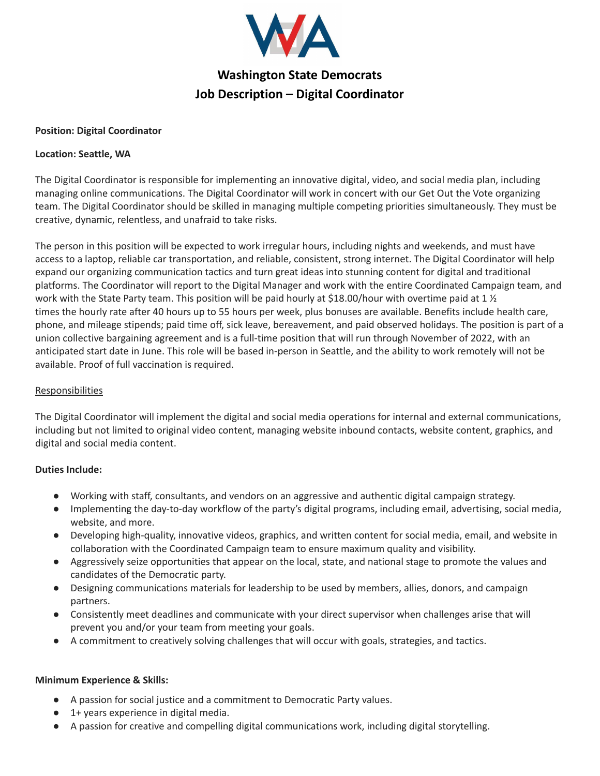

# **Washington State Democrats Job Description – Digital Coordinator**

## **Position: Digital Coordinator**

## **Location: Seattle, WA**

The Digital Coordinator is responsible for implementing an innovative digital, video, and social media plan, including managing online communications. The Digital Coordinator will work in concert with our Get Out the Vote organizing team. The Digital Coordinator should be skilled in managing multiple competing priorities simultaneously. They must be creative, dynamic, relentless, and unafraid to take risks.

The person in this position will be expected to work irregular hours, including nights and weekends, and must have access to a laptop, reliable car transportation, and reliable, consistent, strong internet. The Digital Coordinator will help expand our organizing communication tactics and turn great ideas into stunning content for digital and traditional platforms. The Coordinator will report to the Digital Manager and work with the entire Coordinated Campaign team, and work with the State Party team. This position will be paid hourly at \$18.00/hour with overtime paid at 1 ½ times the hourly rate after 40 hours up to 55 hours per week, plus bonuses are available. Benefits include health care, phone, and mileage stipends; paid time off, sick leave, bereavement, and paid observed holidays. The position is part of a union collective bargaining agreement and is a full-time position that will run through November of 2022, with an anticipated start date in June. This role will be based in-person in Seattle, and the ability to work remotely will not be available. Proof of full vaccination is required.

#### Responsibilities

The Digital Coordinator will implement the digital and social media operations for internal and external communications, including but not limited to original video content, managing website inbound contacts, website content, graphics, and digital and social media content.

# **Duties Include:**

- Working with staff, consultants, and vendors on an aggressive and authentic digital campaign strategy.
- Implementing the day-to-day workflow of the party's digital programs, including email, advertising, social media, website, and more.
- Developing high-quality, innovative videos, graphics, and written content for social media, email, and website in collaboration with the Coordinated Campaign team to ensure maximum quality and visibility.
- Aggressively seize opportunities that appear on the local, state, and national stage to promote the values and candidates of the Democratic party.
- Designing communications materials for leadership to be used by members, allies, donors, and campaign partners.
- Consistently meet deadlines and communicate with your direct supervisor when challenges arise that will prevent you and/or your team from meeting your goals.
- A commitment to creatively solving challenges that will occur with goals, strategies, and tactics.

# **Minimum Experience & Skills:**

- A passion for social justice and a commitment to Democratic Party values.
- 1+ years experience in digital media.
- A passion for creative and compelling digital communications work, including digital storytelling.